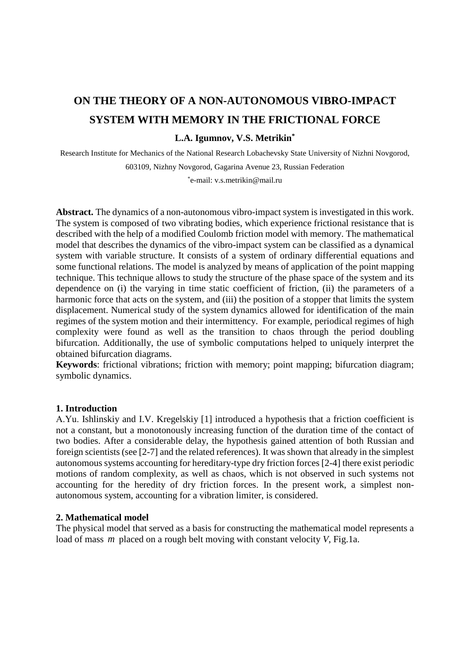# **ON THE THEORY OF A NON-AUTONOMOUS VIBRO-IMPACT SYSTEM WITH MEMORY IN THE FRICTIONAL FORCE**

## **L.A. Igumnov, V.S. Metrikin\***

Research Institute for Mechanics of the National Research Lobachevsky State University of Nizhni Novgorod, 603109, Nizhny Novgorod, Gagarina Avenue 23, Russian Federation

\* e-mail: v.s.metrikin@mail.ru

**Abstract.** The dynamics of a non-autonomous vibro-impact system is investigated in this work. The system is composed of two vibrating bodies, which experience frictional resistance that is described with the help of a modified Coulomb friction model with memory. The mathematical model that describes the dynamics of the vibro-impact system can be classified as a dynamical system with variable structure. It consists of a system of ordinary differential equations and some functional relations. The model is analyzed by means of application of the point mapping technique. This technique allows to study the structure of the phase space of the system and its dependence on (i) the varying in time static coefficient of friction, (ii) the parameters of a harmonic force that acts on the system, and (iii) the position of a stopper that limits the system displacement. Numerical study of the system dynamics allowed for identification of the main regimes of the system motion and their intermittency. For example, periodical regimes of high complexity were found as well as the transition to chaos through the period doubling bifurcation. Additionally, the use of symbolic computations helped to uniquely interpret the obtained bifurcation diagrams.

**Keywords**: frictional vibrations; friction with memory; point mapping; bifurcation diagram; symbolic dynamics.

## **1. Introduction**

А.Yu. Ishlinskiy and I.V. Kregelskiy [1] introduced a hypothesis that a friction coefficient is not a constant, but a monotonously increasing function of the duration time of the contact of two bodies. After a considerable delay, the hypothesis gained attention of both Russian and foreign scientists (see [2-7] and the related references). It was shown that already in the simplest autonomous systems accounting for hereditary-type dry friction forces [2-4] there exist periodic motions of random complexity, as well as chaos, which is not observed in such systems not accounting for the heredity of dry friction forces. In the present work, a simplest nonautonomous system, accounting for a vibration limiter, is considered.

## **2. Mathematical model**

The physical model that served as a basis for constructing the mathematical model represents a load of mass *m* placed on a rough belt moving with constant velocity *V*, Fig.1a.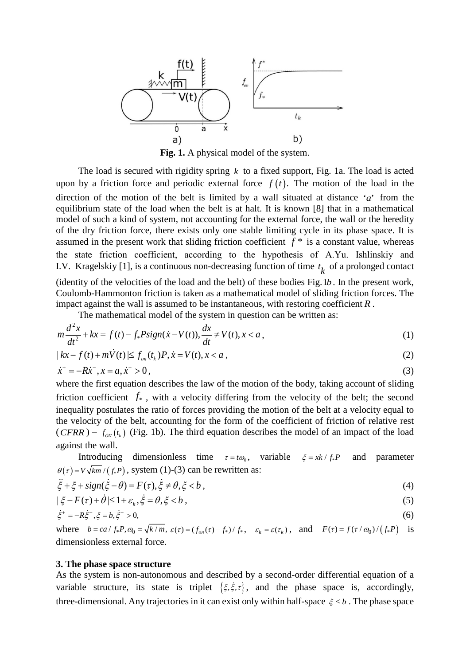

**Fig. 1.** A physical model of the system.

The load is secured with rigidity spring *k* to a fixed support, Fig. 1a. The load is acted upon by a friction force and periodic external force  $f(t)$ . The motion of the load in the direction of the motion of the belt is limited by a wall situated at distance  $a'$  from the equilibrium state of the load when the belt is at halt. It is known [8] that in a mathematical model of such a kind of system, not accounting for the external force, the wall or the heredity of the dry friction force, there exists only one stable limiting cycle in its phase space. It is assumed in the present work that sliding friction coefficient  $f^*$  is a constant value, whereas the state friction coefficient, according to the hypothesis of А.Yu. Ishlinskiy and I.V. Kragelskiy [1], is a continuous non-decreasing function of time *t k* of a prolonged contact (identity of the velocities of the load and the belt) of these bodies Fig.1b . In the present work, Coulomb-Hammonton friction is taken as a mathematical model of sliding friction forces. The impact against the wall is assumed to be instantaneous, with restoring coefficient *R* .

The mathematical model of the system in question can be written as:

$$
m\frac{d^2x}{dt^2} + kx = f(t) - f_*Psign(\dot{x} - V(t)), \frac{dx}{dt} \neq V(t), x < a \,, \tag{1}
$$

$$
| kx - f(t) + m\dot{V}(t) | \le f_{on}(t_k)P, \dot{x} = V(t), x < a,
$$
\n(2)

$$
\dot{x}^+ = -R\dot{x}^-, x = a, \dot{x}^- > 0,\tag{3}
$$

where the first equation describes the law of the motion of the body, taking account of sliding friction coefficient  $f_*$ , with a velocity differing from the velocity of the belt; the second inequality postulates the ratio of forces providing the motion of the belt at a velocity equal to the velocity of the belt, accounting for the form of the coefficient of friction of relative rest  $(CFRR) - f_{on}(t_k)$  (Fig. 1b). The third equation describes the model of an impact of the load against the wall.

Introducing dimensionless time  $\tau = t\omega_0$ , variable  $\xi = xk / f_*P$  and parameter  $\theta(\tau) = V \sqrt{km}/(f_*P)$ , system (1)-(3) can be rewritten as:

$$
\ddot{\xi} + \xi + sign(\dot{\xi} - \theta) = F(\tau), \dot{\xi} \neq \theta, \xi < b \tag{4}
$$

$$
|\xi - F(\tau) + \dot{\theta}| \le 1 + \varepsilon_k, \dot{\xi} = \theta, \xi < b \tag{5}
$$

$$
\dot{\xi}^+ = -R\dot{\xi}^-, \xi = b, \dot{\xi}^- > 0,\tag{6}
$$

where  $b = ca / f_*P, \omega_0 = \sqrt{k/m}, \ \varepsilon(\tau) = (f_{on}(\tau) - f_*)/f_*, \quad \varepsilon_k = \varepsilon(\tau_k), \text{ and } F(\tau) = f(\tau/\omega_0)/f_*P$  is dimensionless external force.

#### **3. The phase space structure**

As the system is non-autonomous and described by a second-order differential equation of a variable structure, its state is triplet  $\{\xi, \xi, \tau\}$ , and the phase space is, accordingly, three-dimensional. Any trajectories in it can exist only within half-space  $\xi \leq b$ . The phase space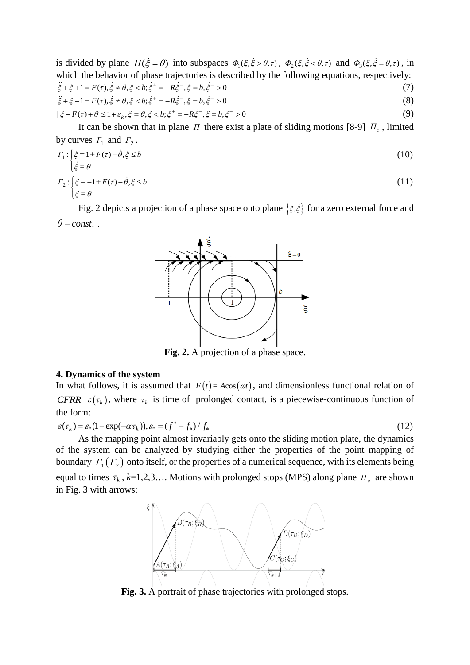is divided by plane  $\Pi(\dot{\xi} = \theta)$  into subspaces  $\Phi_1(\xi, \dot{\xi} > \theta, \tau)$ ,  $\Phi_2(\xi, \dot{\xi} < \theta, \tau)$  and  $\Phi_3(\xi, \dot{\xi} = \theta, \tau)$ , in which the behavior of phase trajectories is described by the following equations, respectively:  $\ddot{\xi} + \xi + 1 = F(\tau), \dot{\xi} \neq \theta, \xi < b; \dot{\xi}^+ = -R\dot{\xi}^-, \xi = b, \dot{\xi}^- > 0$ (7)  $\ddot{z}_{-} z_{-1} - F(\tau) \dot{z} + A z \dot{z} + -R \dot{z}^{+} - R \dot{z}^{-} z - h \dot{z}^{-} > 0$  (8)

$$
\zeta + \zeta - 1 = F(\tau), \zeta \neq \theta, \zeta < b; \zeta = -K\zeta, \zeta = b, \zeta > 0 \tag{8}
$$
\n
$$
|\xi - F(\tau) + \dot{\theta}| \leq 1 + \varepsilon_k, \dot{\xi} = \theta, \xi < b; \dot{\xi}^+ = -R\dot{\xi}^-, \xi = b, \dot{\xi}^- > 0 \tag{9}
$$

It can be shown that in plane *Π* there exist a plate of sliding motions [8-9]  $\Pi_c$ , limited by curves  $\Gamma_1$  and  $\Gamma_2$ .

$$
\Gamma_1: \begin{cases} \xi = 1 + F(\tau) - \dot{\theta}, \xi \le b \\ \dot{\xi} = \theta \end{cases}
$$
\n
$$
\Gamma_2: \begin{cases} \xi = -1 + F(\tau) - \dot{\theta}, \xi \le b \\ \dot{\xi} = \theta \end{cases}
$$
\n(11)

Fig. 2 depicts a projection of a phase space onto plane { } <sup>ξ</sup> <sup>ξ</sup>*,* for a zero external force and  $\theta = const.$ .



**Fig. 2.** A projection of a phase space.

#### **4. Dynamics of the system**

In what follows, it is assumed that  $F(t) = A\cos(\omega t)$ , and dimensionless functional relation of *CFRR*  $\varepsilon(\tau_k)$ , where  $\tau_k$  is time of prolonged contact, is a piecewise-continuous function of the form:

$$
\varepsilon(\tau_k) = \varepsilon_*(1 - \exp(-\alpha \tau_k)), \varepsilon_* = (f^* - f_*) / f_* \tag{12}
$$

As the mapping point almost invariably gets onto the sliding motion plate, the dynamics of the system can be analyzed by studying either the properties of the point mapping of boundary  $\Gamma_1(\Gamma_2)$  onto itself, or the properties of a numerical sequence, with its elements being equal to times  $\tau_k$ ,  $k=1,2,3...$ . Motions with prolonged stops (MPS) along plane  $\pi_c$  are shown in Fig. 3 with arrows:



**Fig. 3.** A portrait of phase trajectories with prolonged stops.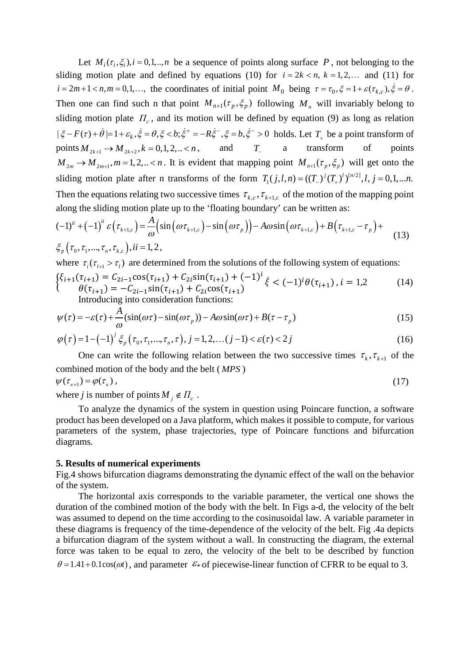Let  $M_i(\tau_i, \xi_i)$ ,  $i = 0,1,...,n$  be a sequence of points along surface *P*, not belonging to the sliding motion plate and defined by equations (10) for  $i = 2k < n$ ,  $k = 1, 2,...$  and (11) for  $i = 2m + 1 < n, m = 0, 1, \ldots$ , the coordinates of initial point  $M_0$  being  $\tau = \tau_0, \xi = 1 + \varepsilon(\tau_{k,c}), \dot{\xi} = \theta$ . Then one can find such n that point  $M_{n+1}(\tau_p, \xi_p)$  following  $M_n$  will invariably belong to sliding motion plate  $\Pi_c$ , and its motion will be defined by equation (9) as long as relation  $|\xi - F(\tau) + \dot{\theta}| = 1 + \varepsilon_k, \dot{\xi} = \theta, \xi < b; \dot{\xi}^+ = -R\xi, \xi = b, \dot{\xi}^+ > 0$  holds. Let  $T_+$  be a point transform of points  $M_{2k+1} \to M_{2k+2}$ ,  $k = 0,1,2,... < n$ , and  $T_{-}$  a transform of points  $M_{2m} \to M_{2m+1}, m=1, 2, \ldots < n$ . It is evident that mapping point  $M_{n+1}(\tau_p, \xi_p)$  will get onto the sliding motion plate after n transforms of the form  $T_1(j, l, n) = ((T_1)^j (T_1)^{l} )^{[n/2]}$ ,  $l, j = 0, 1, \ldots n$ . Then the equations relating two successive times  $\tau_{k,c}$ ,  $\tau_{k+1,c}$  of the motion of the mapping point along the sliding motion plate up to the 'floating boundary' can be written as:

$$
(-1)^{ii} + (-1)^{ii} \varepsilon \left(\tau_{k+1,c}\right) = \frac{A}{\omega} \left(\sin\left(\omega \tau_{k+1,c}\right) - \sin\left(\omega \tau_{p}\right)\right) - A\omega \sin\left(\omega \tau_{k+1,c}\right) + B\left(\tau_{k+1,c} - \tau_{p}\right) +
$$
  
\n
$$
\xi_{p} \left(\tau_{0}, \tau_{1}, ..., \tau_{n}, \tau_{k,c}\right), ii = 1, 2,
$$
\n(13)

where  $\tau_i$  ( $\tau_{i+1} > \tau_i$ ) are determined from the solutions of the following system of equations:

$$
\begin{cases} \xi_{i+1}(\tau_{i+1}) = C_{2i-1}\cos(\tau_{i+1}) + C_{2i}\sin(\tau_{i+1}) + (-1)^i \xi < (-1)^i \theta(\tau_{i+1}), i = 1,2 \\ \theta(\tau_{i+1}) = -C_{2i-1}\sin(\tau_{i+1}) + C_{2i}\cos(\tau_{i+1}) \end{cases} (14)
$$
  
Introducing into consideration functions:

$$
\psi(\tau) = -\varepsilon(\tau) + \frac{A}{\omega} (\sin(\omega \tau) - \sin(\omega \tau_p)) - A\omega \sin(\omega \tau) + B(\tau - \tau_p)
$$
\n(15)

$$
\varphi(\tau) = 1 - (-1)^j \xi_p(\tau_0, \tau_1, ..., \tau_n, \tau), j = 1, 2, ..., (j - 1) < \varepsilon(\tau) < 2j \tag{16}
$$

One can write the following relation between the two successive times  $\tau_k, \tau_{k+1}$  of the combined motion of the body and the belt ( *MPS* )  $\psi(\tau_{k+1}) = \varphi(\tau_k)$ , (17)

where *j* is number of points  $M_i \notin \Pi_c$ .

To analyze the dynamics of the system in question using Poincare function, a software product has been developed on a Java platform, which makes it possible to compute, for various parameters of the system, phase trajectories, type of Poincare functions and bifurcation diagrams.

## **5. Results of numerical experiments**

Fig.4 shows bifurcation diagrams demonstrating the dynamic effect of the wall on the behavior of the system.

The horizontal axis corresponds to the variable parameter, the vertical one shows the duration of the combined motion of the body with the belt. In Figs a-d, the velocity of the belt was assumed to depend on the time according to the cosinusoidal law. A variable parameter in these diagrams is frequency of the time-dependence of the velocity of the belt. Fig .4a depicts a bifurcation diagram of the system without a wall. In constructing the diagram, the external force was taken to be equal to zero, the velocity of the belt to be described by function  $\theta = 1.41 + 0.1\cos(\omega t)$ , and parameter  $\varepsilon_*$  of piecewise-linear function of CFRR to be equal to 3.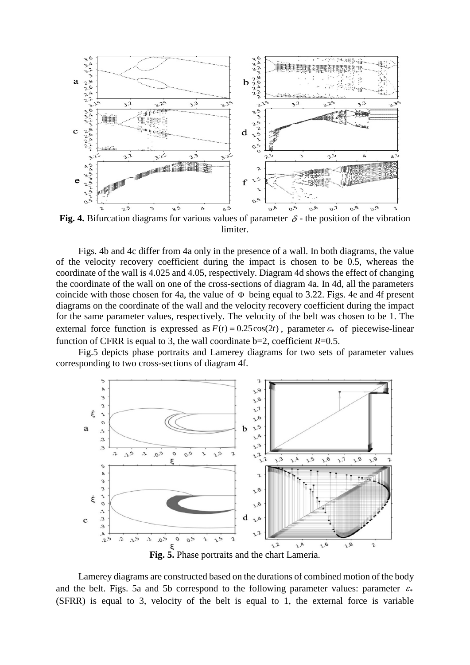

**Fig. 4.** Bifurcation diagrams for various values of parameter  $\delta$  - the position of the vibration limiter.

Figs. 4b and 4c differ from 4a only in the presence of a wall. In both diagrams, the value of the velocity recovery coefficient during the impact is chosen to be 0.5, whereas the coordinate of the wall is 4.025 and 4.05, respectively. Diagram 4d shows the effect of changing the coordinate of the wall on one of the cross-sections of diagram 4a. In 4d, all the parameters coincide with those chosen for 4a, the value of  $\Phi$  being equal to 3.22. Figs. 4e and 4f present diagrams on the coordinate of the wall and the velocity recovery coefficient during the impact for the same parameter values, respectively. The velocity of the belt was chosen to be 1. The external force function is expressed as  $F(t) = 0.25 \cos(2t)$ , parameter  $\varepsilon_*$  of piecewise-linear function of CFRR is equal to 3, the wall coordinate  $b=2$ , coefficient  $R=0.5$ .

Fig.5 depicts phase portraits and Lamerey diagrams for two sets of parameter values corresponding to two cross-sections of diagram 4f.



Lamerey diagrams are constructed based on the durations of combined motion of the body and the belt. Figs. 5a and 5b correspond to the following parameter values: parameter  $\varepsilon_*$ (SFRR) is equal to 3, velocity of the belt is equal to 1, the external force is variable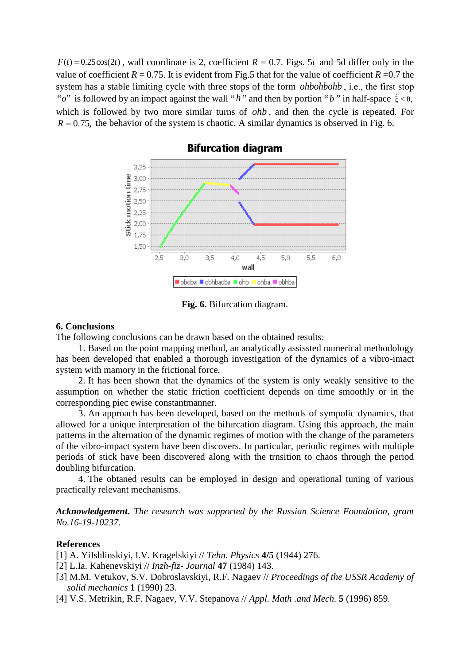$F(t) = 0.25\cos(2t)$ , wall coordinate is 2, coefficient  $R = 0.7$ . Figs. 5c and 5d differ only in the value of coefficient  $R = 0.75$ . It is evident from Fig.5 that for the value of coefficient  $R = 0.7$  the system has a stable limiting cycle with three stops of the form *ohbohbohb* , i.е., the first stop " $o$ " is followed by an impact against the wall " $h$ " and then by portion " $b$ " in half-space  $\dot{\xi} < \theta$ , which is followed by two more similar turns of *ohb* , and then the cycle is repeated. For  $R = 0.75$ , the behavior of the system is chaotic. A similar dynamics is observed in Fig. 6.



# **Bifurcation diagram**

**Fig. 6.** Bifurcation diagram.

## **6. Conclusions**

The following conclusions can be drawn based on the obtained results:

1. Based on the point mapping method, an analytically assissted numerical methodology has been developed that enabled a thorough investigation of the dynamics of a vibro-imact system with mamory in the frictional force.

2. It has been shown that the dynamics of the system is only weakly sensitive to the assumption on whether the static friction coefficient depends on time smoothly or in the corresponding piec ewise constantmanner.

3. An approach has been developed, based on the methods of sympolic dynamics, that allowed for a unique interpretation of the bifurcation diagram. Using this approach, the main patterns in the alternation of the dynamic regimes of motion with the change of the parameters of the vibro-impact system have been discovers. In particular, periodic regimes with multiple periods of stick have been discovered along with the trnsition to chaos through the period doubling bifurcation.

4. The obtaned results can be employed in design and operational tuning of various practically relevant mechanisms.

*Acknowledgement. The research was supported by the Russian Science Foundation, grant No.16-19-10237.* 

### **References**

[1] A. YiIshlinskiyi, I.V. Kragelskiyi // *Tehn. Physics* **4/5** (1944) 276.

- [2] L.Ia. Kahenevskiyi // *Inzh-fiz- Journal* **47** (1984) 143.
- [3] M.M. Vetukov, S.V. Dobroslavskiyi, R.F. Nagaev // *Proceedings of the USSR Academy of solid mechanics* **1** (1990) 23.
- [4] V.S. Metrikin, R.F. Nagaev, V.V. Stepanova // *Appl. Math .and Mech.* **5** (1996) 859.